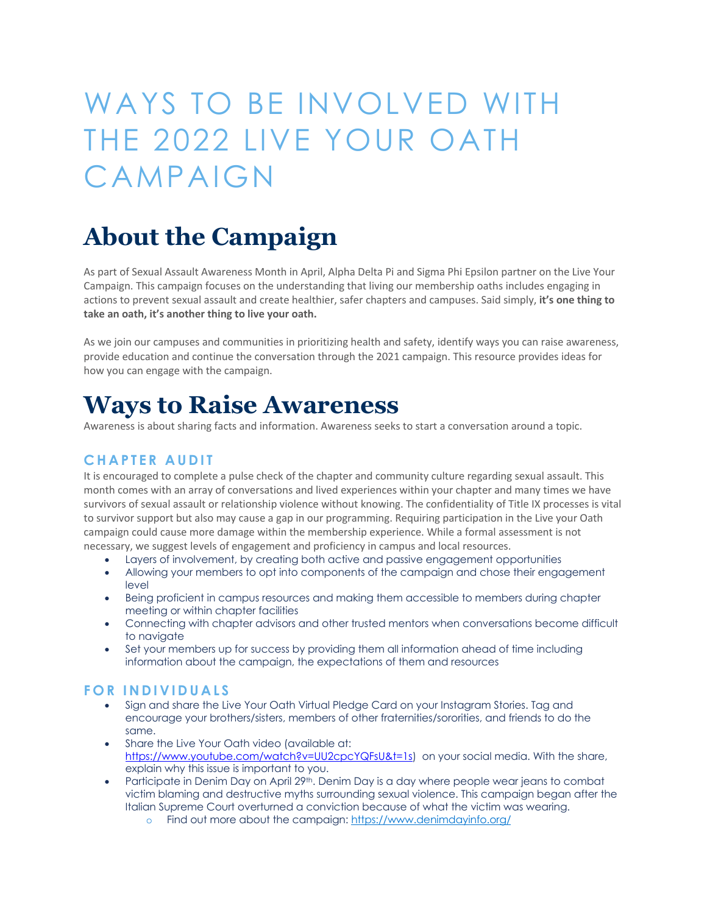# WAYS TO BE INVOLVED WITH THE 2022 LIVE YOUR OATH CAMPAIGN

# **About the Campaign**

As part of Sexual Assault Awareness Month in April, Alpha Delta Pi and Sigma Phi Epsilon partner on the Live Your Campaign. This campaign focuses on the understanding that living our membership oaths includes engaging in actions to prevent sexual assault and create healthier, safer chapters and campuses. Said simply, **it's one thing to take an oath, it's another thing to live your oath.**

As we join our campuses and communities in prioritizing health and safety, identify ways you can raise awareness, provide education and continue the conversation through the 2021 campaign. This resource provides ideas for how you can engage with the campaign.

### **Ways to Raise Awareness**

Awareness is about sharing facts and information. Awareness seeks to start a conversation around a topic.

#### **CHAPTER AUDIT**

It is encouraged to complete a pulse check of the chapter and community culture regarding sexual assault. This month comes with an array of conversations and lived experiences within your chapter and many times we have survivors of sexual assault or relationship violence without knowing. The confidentiality of Title IX processes is vital to survivor support but also may cause a gap in our programming. Requiring participation in the Live your Oath campaign could cause more damage within the membership experience. While a formal assessment is not necessary, we suggest levels of engagement and proficiency in campus and local resources.

- Layers of involvement, by creating both active and passive engagement opportunities
- Allowing your members to opt into components of the campaign and chose their engagement level
- Being proficient in campus resources and making them accessible to members during chapter meeting or within chapter facilities
- Connecting with chapter advisors and other trusted mentors when conversations become difficult to navigate
- Set your members up for success by providing them all information ahead of time including information about the campaign, the expectations of them and resources

#### **FOR INDIVIDUALS**

- Sign and share the Live Your Oath Virtual Pledge Card on your Instagram Stories. Tag and encourage your brothers/sisters, members of other fraternities/sororities, and friends to do the same.
- Share the Live Your Oath video (available at: https://www.youtube.com/watch?v=UU2cpcYQFsU&t=1s) on your social media. With the share, explain why this issue is important to you.
- Participate in Denim Day on April 29<sup>th</sup>. Denim Day is a day where people wear jeans to combat victim blaming and destructive myths surrounding sexual violence. This campaign began after the Italian Supreme Court overturned a conviction because of what the victim was wearing.
	- o Find out more about the campaign: https://www.denimdayinfo.org/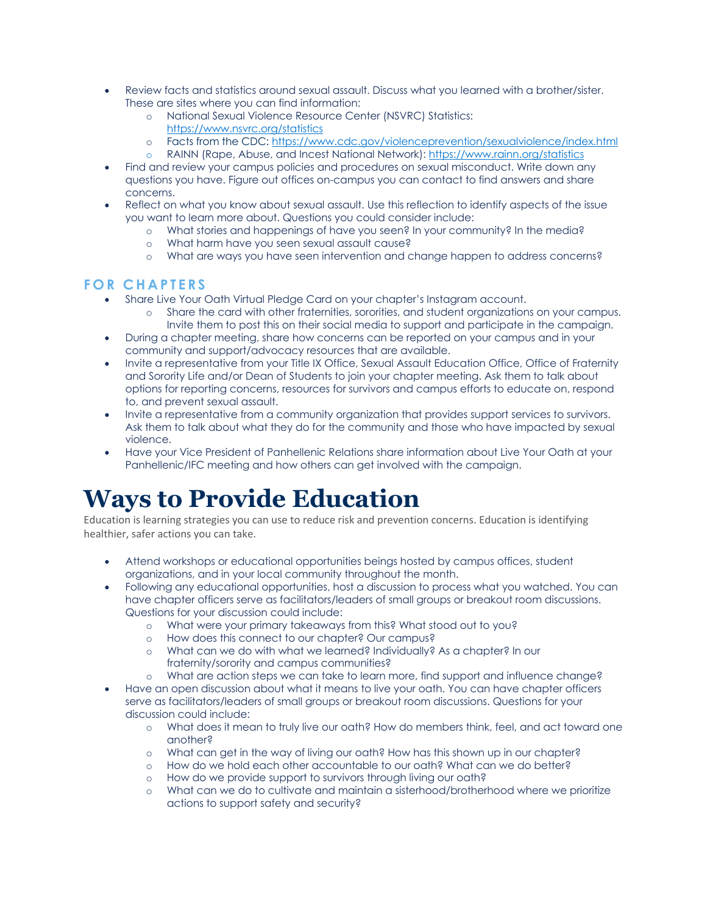- Review facts and statistics around sexual assault. Discuss what you learned with a brother/sister. These are sites where you can find information:
	- o National Sexual Violence Resource Center (NSVRC) Statistics: https://www.nsvrc.org/statistics
	- o Facts from the CDC: https://www.cdc.gov/violenceprevention/sexualviolence/index.html
	- o RAINN (Rape, Abuse, and Incest National Network): https://www.rainn.org/statistics
- Find and review your campus policies and procedures on sexual misconduct. Write down any questions you have. Figure out offices on-campus you can contact to find answers and share concerns.
- Reflect on what you know about sexual assault. Use this reflection to identify aspects of the issue you want to learn more about. Questions you could consider include:
	- o What stories and happenings of have you seen? In your community? In the media?
	- o What harm have you seen sexual assault cause?
	- o What are ways you have seen intervention and change happen to address concerns?

#### **FOR CHAPTERS**

- Share Live Your Oath Virtual Pledge Card on your chapter's Instagram account.
	- o Share the card with other fraternities, sororities, and student organizations on your campus. Invite them to post this on their social media to support and participate in the campaign.
- During a chapter meeting, share how concerns can be reported on your campus and in your community and support/advocacy resources that are available.
- Invite a representative from your Title IX Office, Sexual Assault Education Office, Office of Fraternity and Sorority Life and/or Dean of Students to join your chapter meeting. Ask them to talk about options for reporting concerns, resources for survivors and campus efforts to educate on, respond to, and prevent sexual assault.
- Invite a representative from a community organization that provides support services to survivors. Ask them to talk about what they do for the community and those who have impacted by sexual violence.
- Have your Vice President of Panhellenic Relations share information about Live Your Oath at your Panhellenic/IFC meeting and how others can get involved with the campaign.

## **Ways to Provide Education**

Education is learning strategies you can use to reduce risk and prevention concerns. Education is identifying healthier, safer actions you can take.

- Attend workshops or educational opportunities beings hosted by campus offices, student organizations, and in your local community throughout the month.
- Following any educational opportunities, host a discussion to process what you watched. You can have chapter officers serve as facilitators/leaders of small groups or breakout room discussions. Questions for your discussion could include:
	- o What were your primary takeaways from this? What stood out to you?
	- o How does this connect to our chapter? Our campus?
	- o What can we do with what we learned? Individually? As a chapter? In our fraternity/sorority and campus communities?
	- o What are action steps we can take to learn more, find support and influence change?
- Have an open discussion about what it means to live your oath. You can have chapter officers serve as facilitators/leaders of small groups or breakout room discussions. Questions for your discussion could include:
	- o What does it mean to truly live our oath? How do members think, feel, and act toward one another?
	- o What can get in the way of living our oath? How has this shown up in our chapter?
	- o How do we hold each other accountable to our oath? What can we do better?
	- o How do we provide support to survivors through living our oath?<br>
	o What can we do to cultivate and maintain a sisterhood/brother
	- What can we do to cultivate and maintain a sisterhood/brotherhood where we prioritize actions to support safety and security?